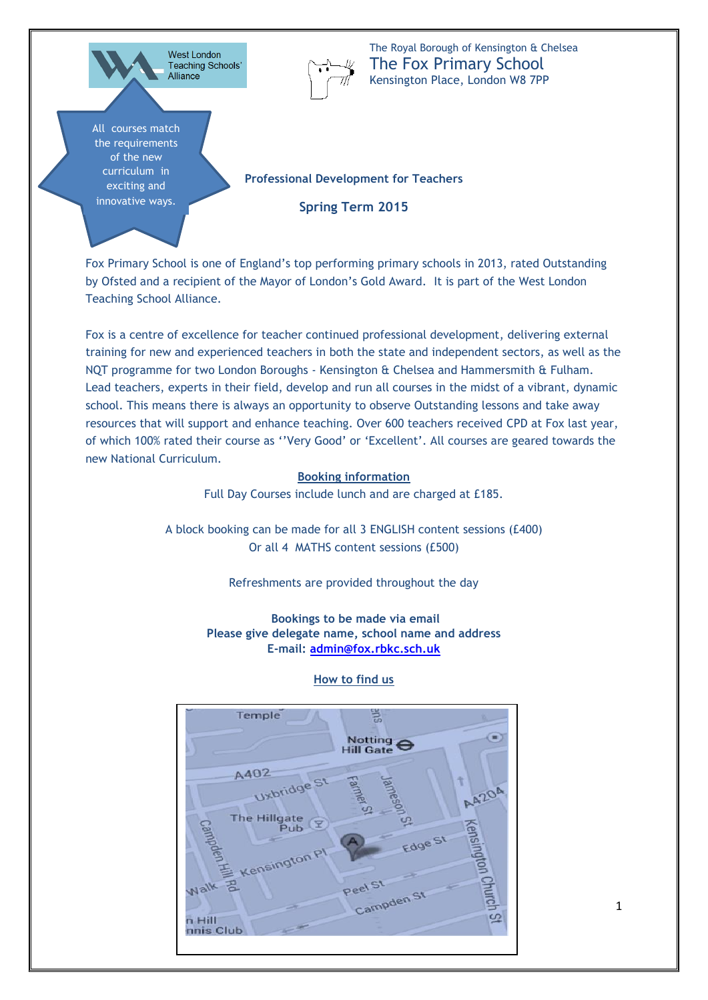West London Teaching Schools' Alliance

All courses match the requirements of the new curriculum in exciting and innovative ways.

The Royal Borough of Kensington & Chelsea The Fox Primary School Kensington Place, London W8 7PP

**Professional Development for Teachers** 

**Spring Term 2015**

Fox Primary School is one of England's top performing primary schools in 2013, rated Outstanding by Ofsted and a recipient of the Mayor of London's Gold Award. It is part of the West London Teaching School Alliance.

Fox is a centre of excellence for teacher continued professional development, delivering external training for new and experienced teachers in both the state and independent sectors, as well as the NQT programme for two London Boroughs - Kensington & Chelsea and Hammersmith & Fulham. Lead teachers, experts in their field, develop and run all courses in the midst of a vibrant, dynamic school. This means there is always an opportunity to observe Outstanding lessons and take away resources that will support and enhance teaching. Over 600 teachers received CPD at Fox last year, of which 100% rated their course as ''Very Good' or 'Excellent'. All courses are geared towards the new National Curriculum.

#### **Booking information**

Full Day Courses include lunch and are charged at £185.

A block booking can be made for all 3 ENGLISH content sessions (£400) Or all 4 MATHS content sessions (£500)

Refreshments are provided throughout the day

**Bookings to be made via email Please give delegate name, school name and address E-mail: [admin@fox.rbkc.sch.uk](mailto:admin@fox.rbkc.sch.uk)**



#### **How to find us**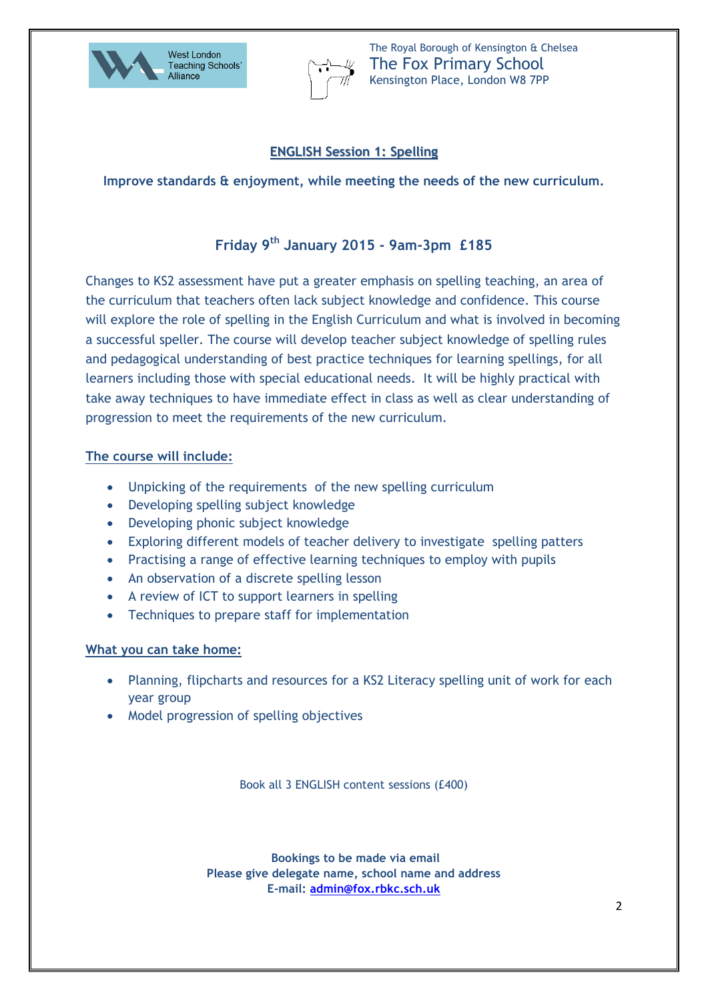



### **ENGLISH Session 1: Spelling**

**Improve standards & enjoyment, while meeting the needs of the new curriculum.**

## **Friday 9th January 2015 - 9am-3pm £185**

Changes to KS2 assessment have put a greater emphasis on spelling teaching, an area of the curriculum that teachers often lack subject knowledge and confidence. This course will explore the role of spelling in the English Curriculum and what is involved in becoming a successful speller. The course will develop teacher subject knowledge of spelling rules and pedagogical understanding of best practice techniques for learning spellings, for all learners including those with special educational needs. It will be highly practical with take away techniques to have immediate effect in class as well as clear understanding of progression to meet the requirements of the new curriculum.

### **The course will include:**

- Unpicking of the requirements of the new spelling curriculum
- Developing spelling subject knowledge
- Developing phonic subject knowledge
- Exploring different models of teacher delivery to investigate spelling patters
- Practising a range of effective learning techniques to employ with pupils
- An observation of a discrete spelling lesson
- A review of ICT to support learners in spelling
- Techniques to prepare staff for implementation

#### **What you can take home:**

- Planning, flipcharts and resources for a KS2 Literacy spelling unit of work for each year group
- Model progression of spelling objectives

Book all 3 ENGLISH content sessions (£400)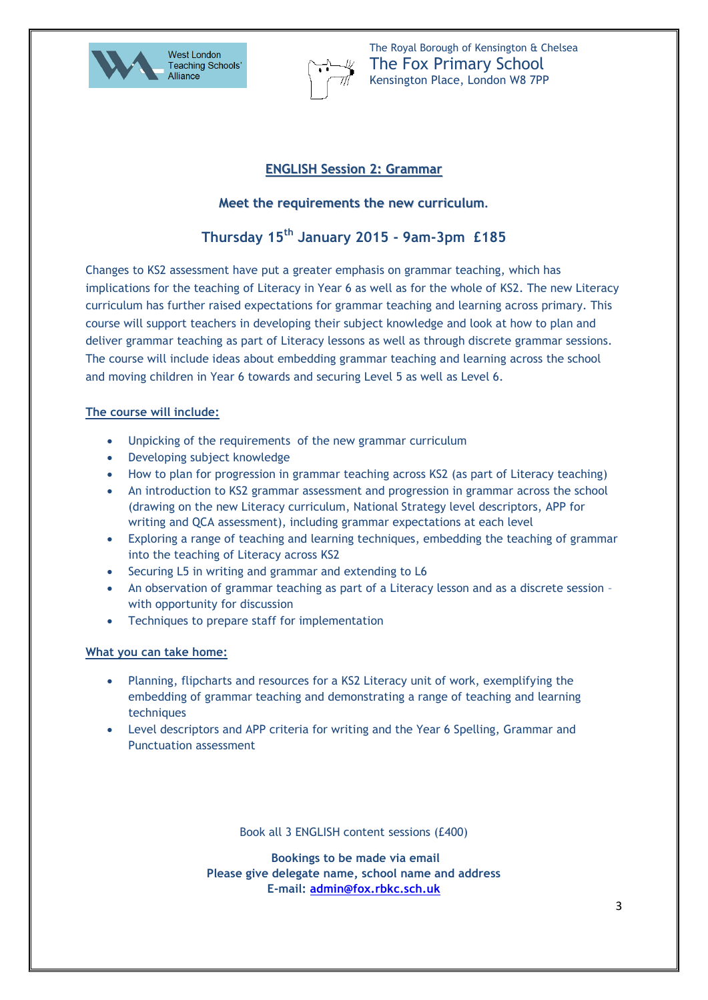



#### **ENGLISH Session 2: Grammar**

#### **Meet the requirements the new curriculum.**

# **Thursday 15th January 2015 - 9am-3pm £185**

Changes to KS2 assessment have put a greater emphasis on grammar teaching, which has implications for the teaching of Literacy in Year 6 as well as for the whole of KS2. The new Literacy curriculum has further raised expectations for grammar teaching and learning across primary. This course will support teachers in developing their subject knowledge and look at how to plan and deliver grammar teaching as part of Literacy lessons as well as through discrete grammar sessions. The course will include ideas about embedding grammar teaching and learning across the school and moving children in Year 6 towards and securing Level 5 as well as Level 6.

#### **The course will include:**

- Unpicking of the requirements of the new grammar curriculum
- Developing subject knowledge
- How to plan for progression in grammar teaching across KS2 (as part of Literacy teaching)
- An introduction to KS2 grammar assessment and progression in grammar across the school (drawing on the new Literacy curriculum, National Strategy level descriptors, APP for writing and QCA assessment), including grammar expectations at each level
- Exploring a range of teaching and learning techniques, embedding the teaching of grammar into the teaching of Literacy across KS2
- Securing L5 in writing and grammar and extending to L6
- An observation of grammar teaching as part of a Literacy lesson and as a discrete session with opportunity for discussion
- Techniques to prepare staff for implementation

#### **What you can take home:**

- Planning, flipcharts and resources for a KS2 Literacy unit of work, exemplifying the embedding of grammar teaching and demonstrating a range of teaching and learning techniques
- Level descriptors and APP criteria for writing and the Year 6 Spelling, Grammar and Punctuation assessment

Book all 3 ENGLISH content sessions (£400)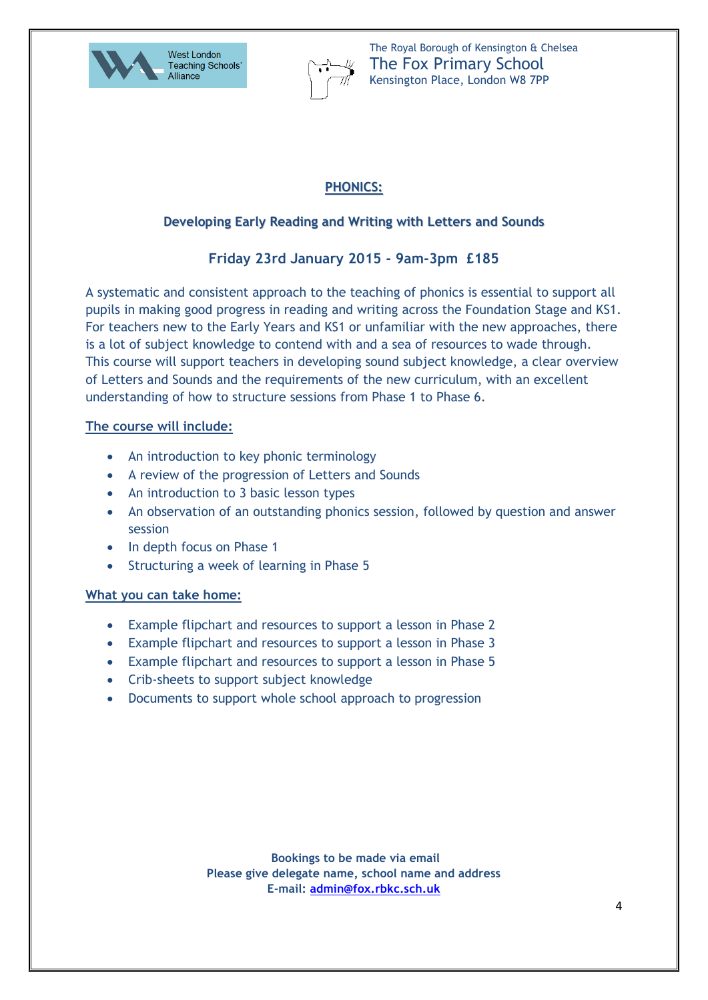



## **PHONICS:**

## **Developing Early Reading and Writing with Letters and Sounds**

# **Friday 23rd January 2015 - 9am-3pm £185**

A systematic and consistent approach to the teaching of phonics is essential to support all pupils in making good progress in reading and writing across the Foundation Stage and KS1. For teachers new to the Early Years and KS1 or unfamiliar with the new approaches, there is a lot of subject knowledge to contend with and a sea of resources to wade through. This course will support teachers in developing sound subject knowledge, a clear overview of Letters and Sounds and the requirements of the new curriculum, with an excellent understanding of how to structure sessions from Phase 1 to Phase 6.

### **The course will include:**

- An introduction to key phonic terminology
- A review of the progression of Letters and Sounds
- An introduction to 3 basic lesson types
- An observation of an outstanding phonics session, followed by question and answer session
- In depth focus on Phase 1
- Structuring a week of learning in Phase 5

### **What you can take home:**

- Example flipchart and resources to support a lesson in Phase 2
- Example flipchart and resources to support a lesson in Phase 3
- Example flipchart and resources to support a lesson in Phase 5
- Crib-sheets to support subject knowledge
- Documents to support whole school approach to progression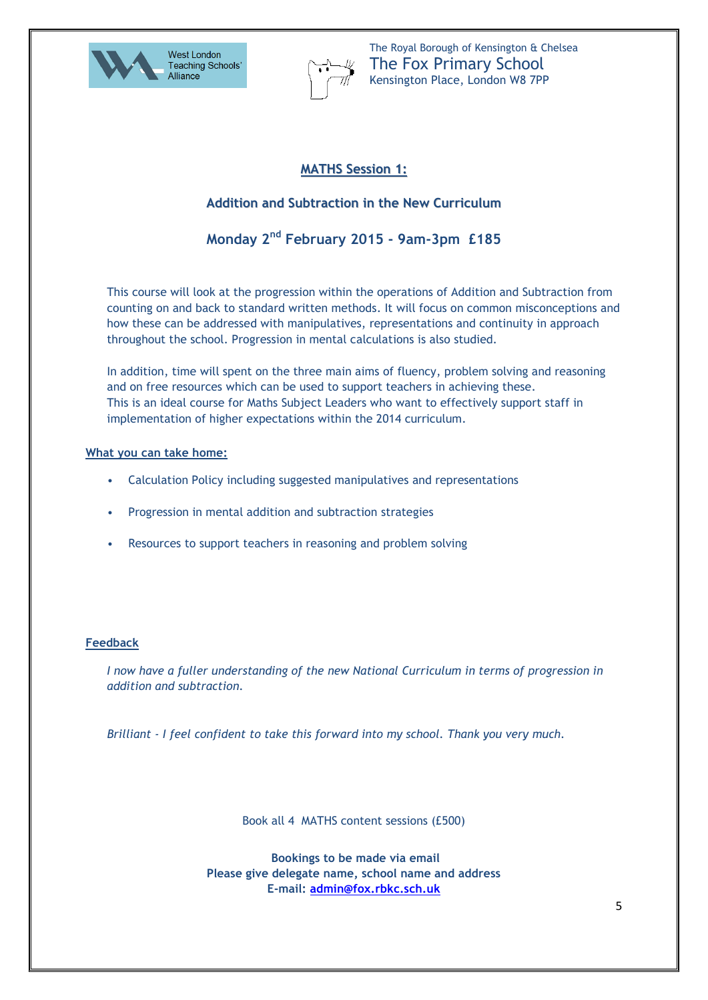



### **MATHS Session 1:**

### **Addition and Subtraction in the New Curriculum**

### **Monday 2nd February 2015 - 9am-3pm £185**

This course will look at the progression within the operations of Addition and Subtraction from counting on and back to standard written methods. It will focus on common misconceptions and how these can be addressed with manipulatives, representations and continuity in approach throughout the school. Progression in mental calculations is also studied.

In addition, time will spent on the three main aims of fluency, problem solving and reasoning and on free resources which can be used to support teachers in achieving these. This is an ideal course for Maths Subject Leaders who want to effectively support staff in implementation of higher expectations within the 2014 curriculum.

#### **What you can take home:**

- Calculation Policy including suggested manipulatives and representations
- Progression in mental addition and subtraction strategies
- Resources to support teachers in reasoning and problem solving

#### **Feedback**

*I now have a fuller understanding of the new National Curriculum in terms of progression in addition and subtraction.*

*Brilliant - I feel confident to take this forward into my school. Thank you very much.*

Book all 4 MATHS content sessions (£500)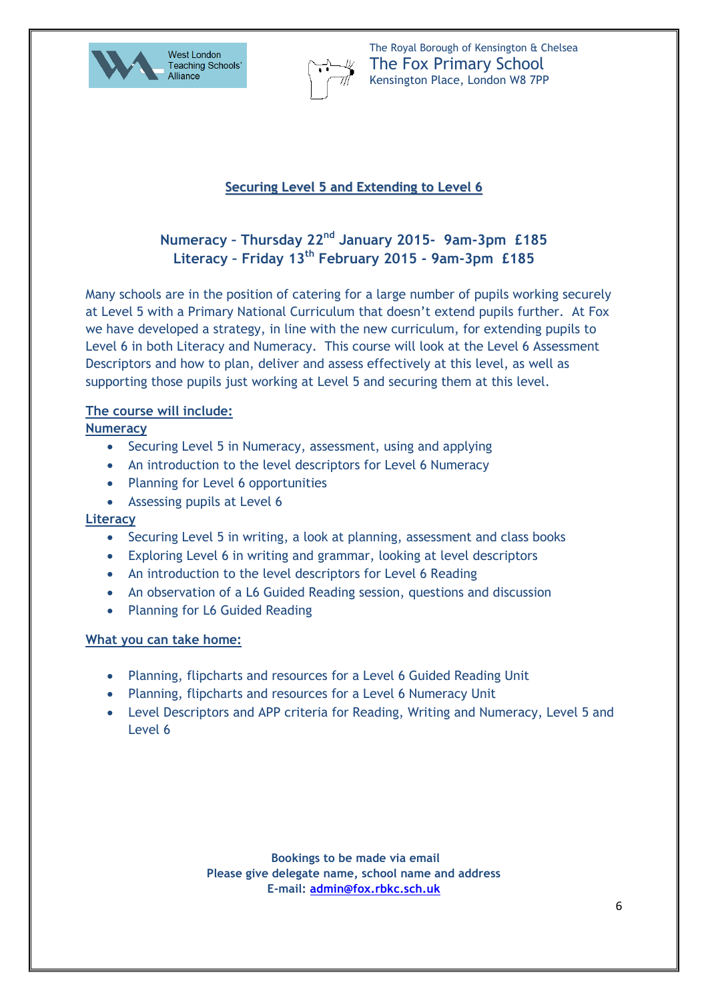



## **Securing Level 5 and Extending to Level 6**

# **Numeracy – Thursday 22nd January 2015- 9am-3pm £185 Literacy – Friday 13th February 2015 - 9am-3pm £185**

Many schools are in the position of catering for a large number of pupils working securely at Level 5 with a Primary National Curriculum that doesn't extend pupils further. At Fox we have developed a strategy, in line with the new curriculum, for extending pupils to Level 6 in both Literacy and Numeracy. This course will look at the Level 6 Assessment Descriptors and how to plan, deliver and assess effectively at this level, as well as supporting those pupils just working at Level 5 and securing them at this level.

### **The course will include:**

### **Numeracy**

- Securing Level 5 in Numeracy, assessment, using and applying
- An introduction to the level descriptors for Level 6 Numeracy
- Planning for Level 6 opportunities
- Assessing pupils at Level 6

#### **Literacy**

- Securing Level 5 in writing, a look at planning, assessment and class books
- Exploring Level 6 in writing and grammar, looking at level descriptors
- An introduction to the level descriptors for Level 6 Reading
- An observation of a L6 Guided Reading session, questions and discussion
- Planning for L6 Guided Reading

#### **What you can take home:**

- Planning, flipcharts and resources for a Level 6 Guided Reading Unit
- Planning, flipcharts and resources for a Level 6 Numeracy Unit
- Level Descriptors and APP criteria for Reading, Writing and Numeracy, Level 5 and Level 6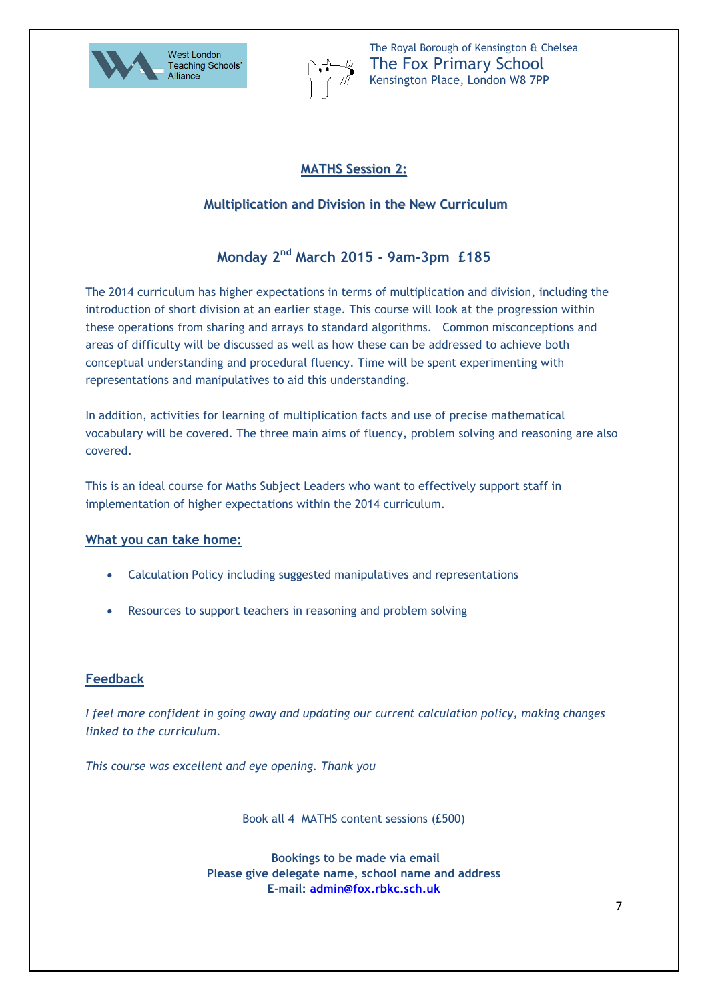



## **MATHS Session 2:**

### **Multiplication and Division in the New Curriculum**

# **Monday 2nd March 2015 - 9am-3pm £185**

The 2014 curriculum has higher expectations in terms of multiplication and division, including the introduction of short division at an earlier stage. This course will look at the progression within these operations from sharing and arrays to standard algorithms. Common misconceptions and areas of difficulty will be discussed as well as how these can be addressed to achieve both conceptual understanding and procedural fluency. Time will be spent experimenting with representations and manipulatives to aid this understanding.

In addition, activities for learning of multiplication facts and use of precise mathematical vocabulary will be covered. The three main aims of fluency, problem solving and reasoning are also covered.

This is an ideal course for Maths Subject Leaders who want to effectively support staff in implementation of higher expectations within the 2014 curriculum.

#### **What you can take home:**

- Calculation Policy including suggested manipulatives and representations
- Resources to support teachers in reasoning and problem solving

#### **Feedback**

*I feel more confident in going away and updating our current calculation policy, making changes linked to the curriculum.*

*This course was excellent and eye opening. Thank you*

Book all 4 MATHS content sessions (£500)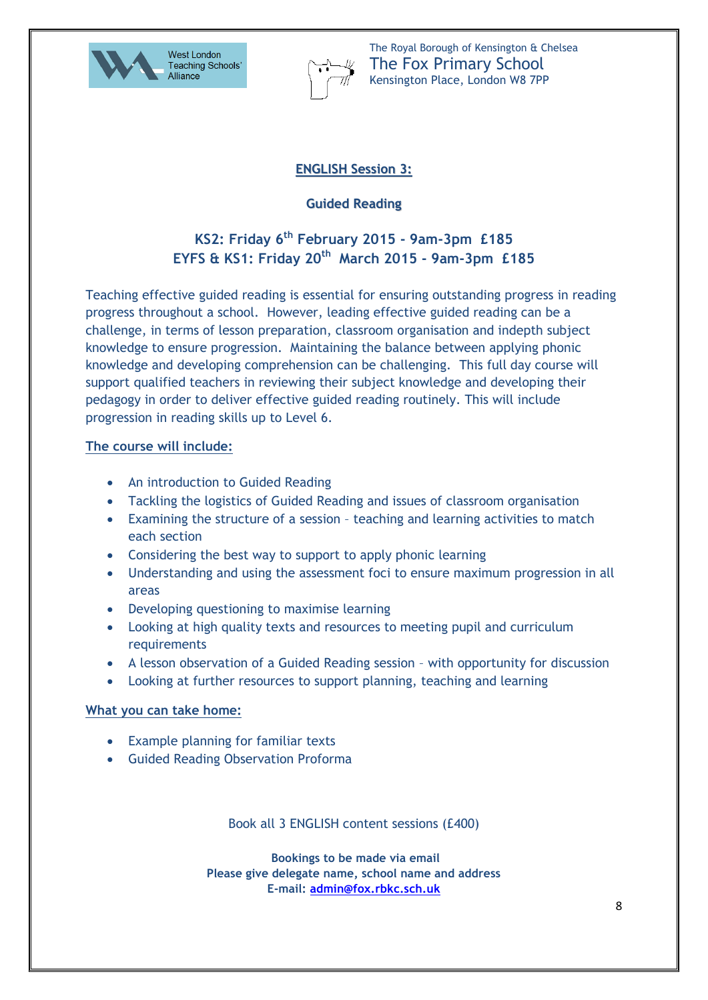



## **ENGLISH Session 3:**

## **Guided Reading**

# **KS2: Friday 6th February 2015 - 9am-3pm £185 EYFS & KS1: Friday 20th March 2015 - 9am-3pm £185**

Teaching effective guided reading is essential for ensuring outstanding progress in reading progress throughout a school. However, leading effective guided reading can be a challenge, in terms of lesson preparation, classroom organisation and indepth subject knowledge to ensure progression. Maintaining the balance between applying phonic knowledge and developing comprehension can be challenging. This full day course will support qualified teachers in reviewing their subject knowledge and developing their pedagogy in order to deliver effective guided reading routinely. This will include progression in reading skills up to Level 6.

### **The course will include:**

- An introduction to Guided Reading
- Tackling the logistics of Guided Reading and issues of classroom organisation
- Examining the structure of a session teaching and learning activities to match each section
- Considering the best way to support to apply phonic learning
- Understanding and using the assessment foci to ensure maximum progression in all areas
- Developing questioning to maximise learning
- Looking at high quality texts and resources to meeting pupil and curriculum requirements
- A lesson observation of a Guided Reading session with opportunity for discussion
- Looking at further resources to support planning, teaching and learning

### **What you can take home:**

- Example planning for familiar texts
- **Guided Reading Observation Proforma**

Book all 3 ENGLISH content sessions (£400)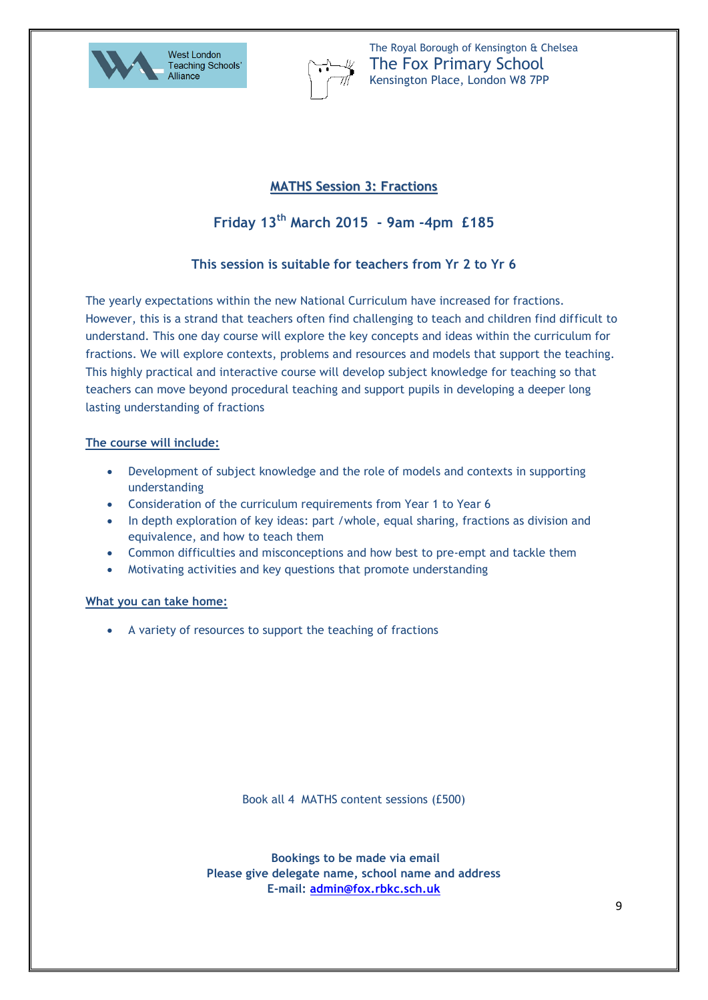



### **MATHS Session 3: Fractions**

# **Friday 13th March 2015 - 9am -4pm £185**

### **This session is suitable for teachers from Yr 2 to Yr 6**

The yearly expectations within the new National Curriculum have increased for fractions. However, this is a strand that teachers often find challenging to teach and children find difficult to understand. This one day course will explore the key concepts and ideas within the curriculum for fractions. We will explore contexts, problems and resources and models that support the teaching. This highly practical and interactive course will develop subject knowledge for teaching so that teachers can move beyond procedural teaching and support pupils in developing a deeper long lasting understanding of fractions

#### **The course will include:**

- Development of subject knowledge and the role of models and contexts in supporting understanding
- Consideration of the curriculum requirements from Year 1 to Year 6
- In depth exploration of key ideas: part /whole, equal sharing, fractions as division and equivalence, and how to teach them
- Common difficulties and misconceptions and how best to pre-empt and tackle them
- Motivating activities and key questions that promote understanding

#### **What you can take home:**

A variety of resources to support the teaching of fractions

Book all 4 MATHS content sessions (£500)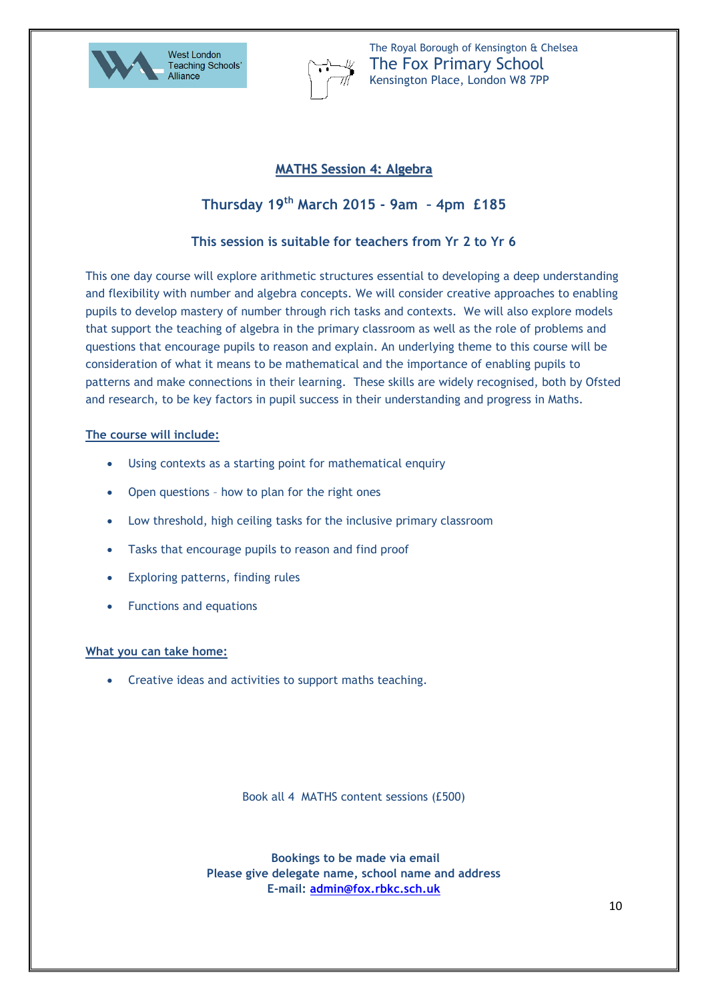



### **MATHS Session 4: Algebra**

# **Thursday 19th March 2015 - 9am – 4pm £185**

### **This session is suitable for teachers from Yr 2 to Yr 6**

This one day course will explore arithmetic structures essential to developing a deep understanding and flexibility with number and algebra concepts. We will consider creative approaches to enabling pupils to develop mastery of number through rich tasks and contexts. We will also explore models that support the teaching of algebra in the primary classroom as well as the role of problems and questions that encourage pupils to reason and explain. An underlying theme to this course will be consideration of what it means to be mathematical and the importance of enabling pupils to patterns and make connections in their learning. These skills are widely recognised, both by Ofsted and research, to be key factors in pupil success in their understanding and progress in Maths.

#### **The course will include:**

- Using contexts as a starting point for mathematical enquiry
- Open questions how to plan for the right ones
- Low threshold, high ceiling tasks for the inclusive primary classroom
- Tasks that encourage pupils to reason and find proof
- Exploring patterns, finding rules
- Functions and equations

#### **What you can take home:**

Creative ideas and activities to support maths teaching.

Book all 4 MATHS content sessions (£500)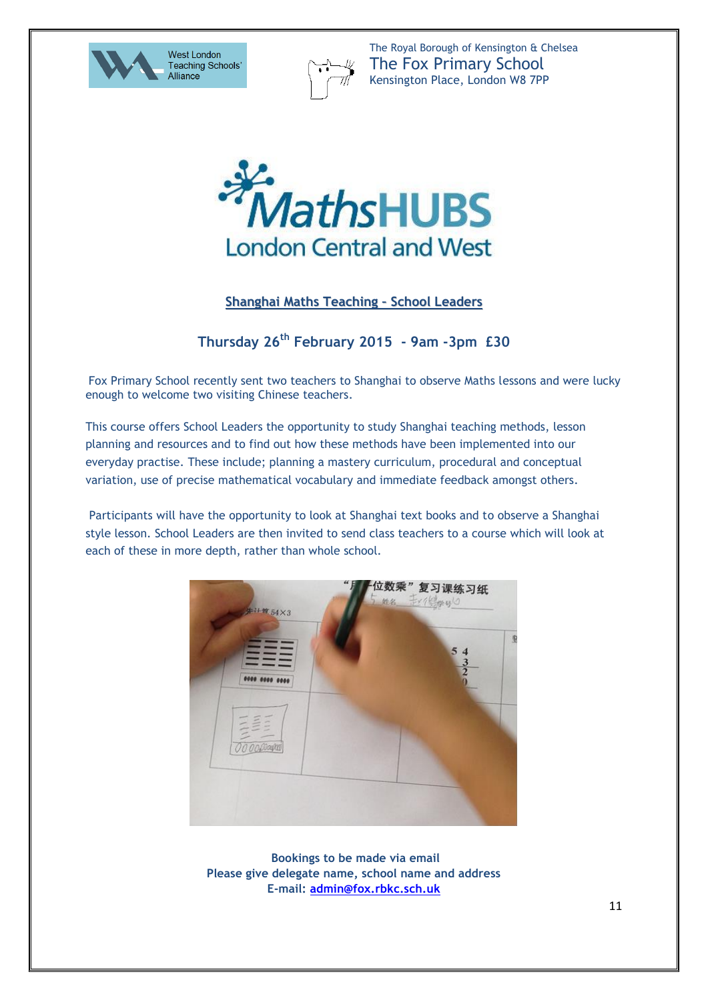





### **Shanghai Maths Teaching – School Leaders**

# **Thursday 26th February 2015 - 9am -3pm £30**

Fox Primary School recently sent two teachers to Shanghai to observe Maths lessons and were lucky enough to welcome two visiting Chinese teachers.

This course offers School Leaders the opportunity to study Shanghai teaching methods, lesson planning and resources and to find out how these methods have been implemented into our everyday practise. These include; planning a mastery curriculum, procedural and conceptual variation, use of precise mathematical vocabulary and immediate feedback amongst others.

Participants will have the opportunity to look at Shanghai text books and to observe a Shanghai style lesson. School Leaders are then invited to send class teachers to a course which will look at each of these in more depth, rather than whole school.